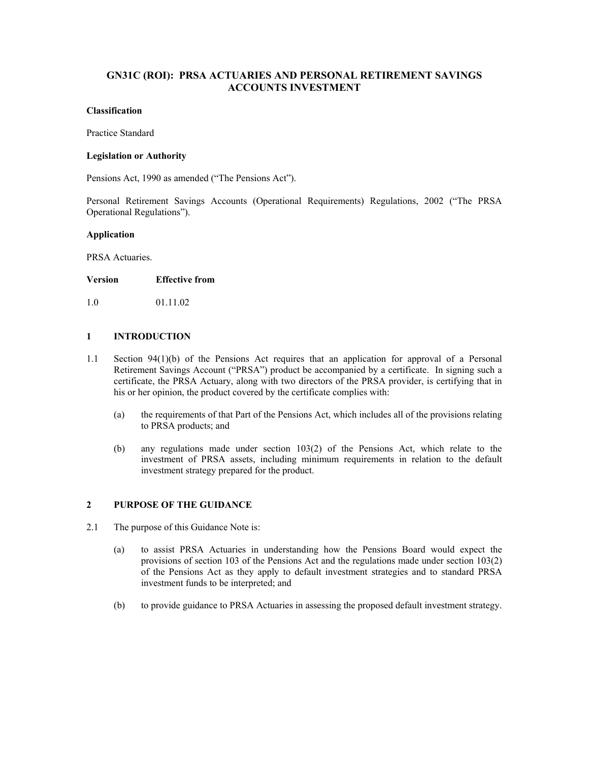# **GN31C (ROI): PRSA ACTUARIES AND PERSONAL RETIREMENT SAVINGS ACCOUNTS INVESTMENT**

# **Classification**

Practice Standard

## **Legislation or Authority**

Pensions Act, 1990 as amended ("The Pensions Act").

Personal Retirement Savings Accounts (Operational Requirements) Regulations, 2002 ("The PRSA Operational Regulations").

## **Application**

PRSA Actuaries.

## **Version Effective from**

1.0 01.11.02

## **1 INTRODUCTION**

- 1.1 Section 94(1)(b) of the Pensions Act requires that an application for approval of a Personal Retirement Savings Account ("PRSA") product be accompanied by a certificate. In signing such a certificate, the PRSA Actuary, along with two directors of the PRSA provider, is certifying that in his or her opinion, the product covered by the certificate complies with:
	- (a) the requirements of that Part of the Pensions Act, which includes all of the provisions relating to PRSA products; and
	- (b) any regulations made under section 103(2) of the Pensions Act, which relate to the investment of PRSA assets, including minimum requirements in relation to the default investment strategy prepared for the product.

## **2 PURPOSE OF THE GUIDANCE**

- 2.1 The purpose of this Guidance Note is:
	- (a) to assist PRSA Actuaries in understanding how the Pensions Board would expect the provisions of section 103 of the Pensions Act and the regulations made under section 103(2) of the Pensions Act as they apply to default investment strategies and to standard PRSA investment funds to be interpreted; and
	- (b) to provide guidance to PRSA Actuaries in assessing the proposed default investment strategy.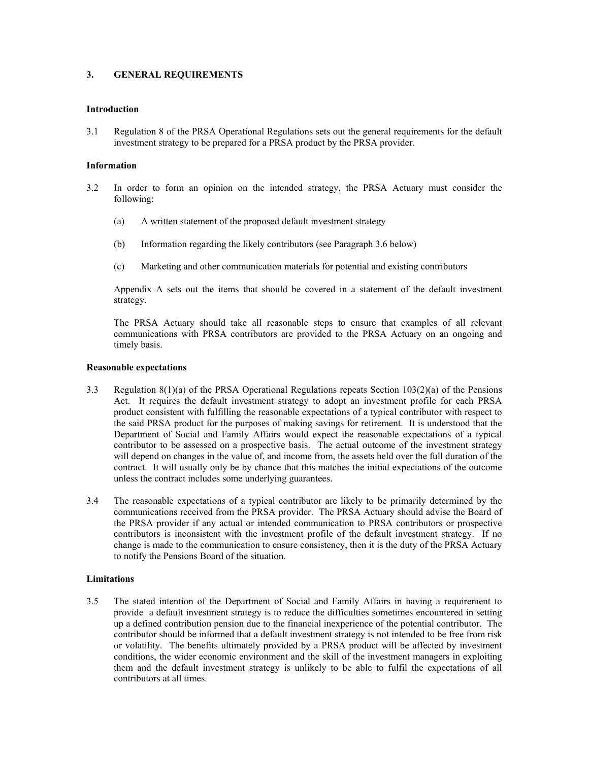## **3. GENERAL REQUIREMENTS**

#### **Introduction**

3.1 Regulation 8 of the PRSA Operational Regulations sets out the general requirements for the default investment strategy to be prepared for a PRSA product by the PRSA provider.

#### **Information**

- 3.2 In order to form an opinion on the intended strategy, the PRSA Actuary must consider the following:
	- (a) A written statement of the proposed default investment strategy
	- (b) Information regarding the likely contributors (see Paragraph 3.6 below)
	- (c) Marketing and other communication materials for potential and existing contributors

Appendix A sets out the items that should be covered in a statement of the default investment strategy.

The PRSA Actuary should take all reasonable steps to ensure that examples of all relevant communications with PRSA contributors are provided to the PRSA Actuary on an ongoing and timely basis.

#### **Reasonable expectations**

- 3.3 Regulation 8(1)(a) of the PRSA Operational Regulations repeats Section 103(2)(a) of the Pensions Act. It requires the default investment strategy to adopt an investment profile for each PRSA product consistent with fulfilling the reasonable expectations of a typical contributor with respect to the said PRSA product for the purposes of making savings for retirement. It is understood that the Department of Social and Family Affairs would expect the reasonable expectations of a typical contributor to be assessed on a prospective basis. The actual outcome of the investment strategy will depend on changes in the value of, and income from, the assets held over the full duration of the contract. It will usually only be by chance that this matches the initial expectations of the outcome unless the contract includes some underlying guarantees.
- 3.4 The reasonable expectations of a typical contributor are likely to be primarily determined by the communications received from the PRSA provider. The PRSA Actuary should advise the Board of the PRSA provider if any actual or intended communication to PRSA contributors or prospective contributors is inconsistent with the investment profile of the default investment strategy. If no change is made to the communication to ensure consistency, then it is the duty of the PRSA Actuary to notify the Pensions Board of the situation.

#### **Limitations**

3.5 The stated intention of the Department of Social and Family Affairs in having a requirement to provide a default investment strategy is to reduce the difficulties sometimes encountered in setting up a defined contribution pension due to the financial inexperience of the potential contributor. The contributor should be informed that a default investment strategy is not intended to be free from risk or volatility. The benefits ultimately provided by a PRSA product will be affected by investment conditions, the wider economic environment and the skill of the investment managers in exploiting them and the default investment strategy is unlikely to be able to fulfil the expectations of all contributors at all times.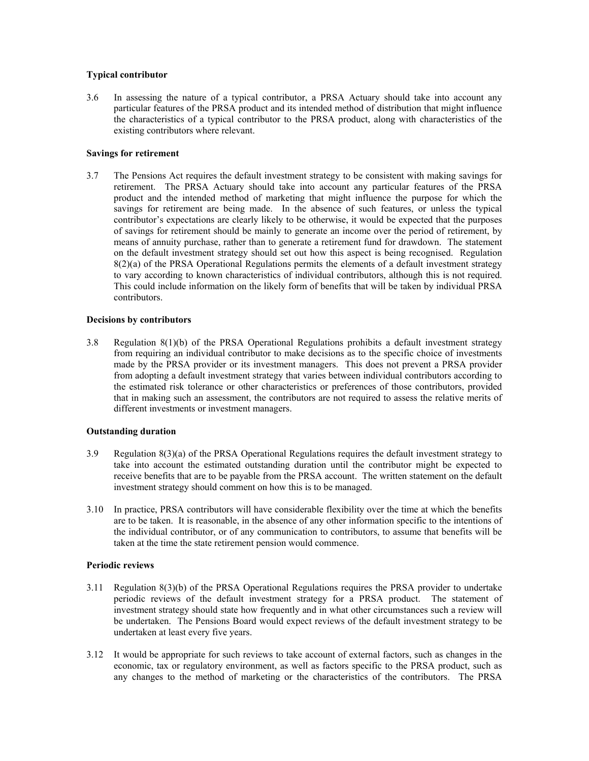## **Typical contributor**

3.6 In assessing the nature of a typical contributor, a PRSA Actuary should take into account any particular features of the PRSA product and its intended method of distribution that might influence the characteristics of a typical contributor to the PRSA product, along with characteristics of the existing contributors where relevant.

## **Savings for retirement**

3.7 The Pensions Act requires the default investment strategy to be consistent with making savings for retirement. The PRSA Actuary should take into account any particular features of the PRSA product and the intended method of marketing that might influence the purpose for which the savings for retirement are being made. In the absence of such features, or unless the typical contributor's expectations are clearly likely to be otherwise, it would be expected that the purposes of savings for retirement should be mainly to generate an income over the period of retirement, by means of annuity purchase, rather than to generate a retirement fund for drawdown. The statement on the default investment strategy should set out how this aspect is being recognised. Regulation 8(2)(a) of the PRSA Operational Regulations permits the elements of a default investment strategy to vary according to known characteristics of individual contributors, although this is not required. This could include information on the likely form of benefits that will be taken by individual PRSA contributors.

#### **Decisions by contributors**

3.8 Regulation 8(1)(b) of the PRSA Operational Regulations prohibits a default investment strategy from requiring an individual contributor to make decisions as to the specific choice of investments made by the PRSA provider or its investment managers. This does not prevent a PRSA provider from adopting a default investment strategy that varies between individual contributors according to the estimated risk tolerance or other characteristics or preferences of those contributors, provided that in making such an assessment, the contributors are not required to assess the relative merits of different investments or investment managers.

## **Outstanding duration**

- 3.9 Regulation 8(3)(a) of the PRSA Operational Regulations requires the default investment strategy to take into account the estimated outstanding duration until the contributor might be expected to receive benefits that are to be payable from the PRSA account. The written statement on the default investment strategy should comment on how this is to be managed.
- 3.10 In practice, PRSA contributors will have considerable flexibility over the time at which the benefits are to be taken. It is reasonable, in the absence of any other information specific to the intentions of the individual contributor, or of any communication to contributors, to assume that benefits will be taken at the time the state retirement pension would commence.

#### **Periodic reviews**

- 3.11 Regulation 8(3)(b) of the PRSA Operational Regulations requires the PRSA provider to undertake periodic reviews of the default investment strategy for a PRSA product. The statement of investment strategy should state how frequently and in what other circumstances such a review will be undertaken. The Pensions Board would expect reviews of the default investment strategy to be undertaken at least every five years.
- 3.12 It would be appropriate for such reviews to take account of external factors, such as changes in the economic, tax or regulatory environment, as well as factors specific to the PRSA product, such as any changes to the method of marketing or the characteristics of the contributors. The PRSA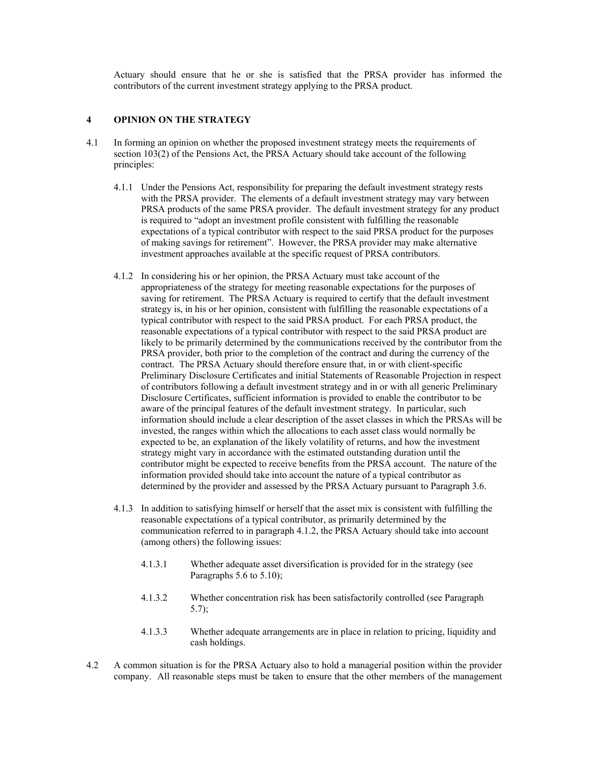Actuary should ensure that he or she is satisfied that the PRSA provider has informed the contributors of the current investment strategy applying to the PRSA product.

## **4 OPINION ON THE STRATEGY**

- 4.1 In forming an opinion on whether the proposed investment strategy meets the requirements of section 103(2) of the Pensions Act, the PRSA Actuary should take account of the following principles:
	- 4.1.1 Under the Pensions Act, responsibility for preparing the default investment strategy rests with the PRSA provider. The elements of a default investment strategy may vary between PRSA products of the same PRSA provider. The default investment strategy for any product is required to "adopt an investment profile consistent with fulfilling the reasonable expectations of a typical contributor with respect to the said PRSA product for the purposes of making savings for retirement". However, the PRSA provider may make alternative investment approaches available at the specific request of PRSA contributors.
	- 4.1.2 In considering his or her opinion, the PRSA Actuary must take account of the appropriateness of the strategy for meeting reasonable expectations for the purposes of saving for retirement. The PRSA Actuary is required to certify that the default investment strategy is, in his or her opinion, consistent with fulfilling the reasonable expectations of a typical contributor with respect to the said PRSA product. For each PRSA product, the reasonable expectations of a typical contributor with respect to the said PRSA product are likely to be primarily determined by the communications received by the contributor from the PRSA provider, both prior to the completion of the contract and during the currency of the contract. The PRSA Actuary should therefore ensure that, in or with client-specific Preliminary Disclosure Certificates and initial Statements of Reasonable Projection in respect of contributors following a default investment strategy and in or with all generic Preliminary Disclosure Certificates, sufficient information is provided to enable the contributor to be aware of the principal features of the default investment strategy. In particular, such information should include a clear description of the asset classes in which the PRSAs will be invested, the ranges within which the allocations to each asset class would normally be expected to be, an explanation of the likely volatility of returns, and how the investment strategy might vary in accordance with the estimated outstanding duration until the contributor might be expected to receive benefits from the PRSA account. The nature of the information provided should take into account the nature of a typical contributor as determined by the provider and assessed by the PRSA Actuary pursuant to Paragraph 3.6.
	- 4.1.3 In addition to satisfying himself or herself that the asset mix is consistent with fulfilling the reasonable expectations of a typical contributor, as primarily determined by the communication referred to in paragraph 4.1.2, the PRSA Actuary should take into account (among others) the following issues:
		- 4.1.3.1 Whether adequate asset diversification is provided for in the strategy (see Paragraphs  $5.6$  to  $5.10$ );
		- 4.1.3.2 Whether concentration risk has been satisfactorily controlled (see Paragraph 5.7);
		- 4.1.3.3 Whether adequate arrangements are in place in relation to pricing, liquidity and cash holdings.
- 4.2 A common situation is for the PRSA Actuary also to hold a managerial position within the provider company. All reasonable steps must be taken to ensure that the other members of the management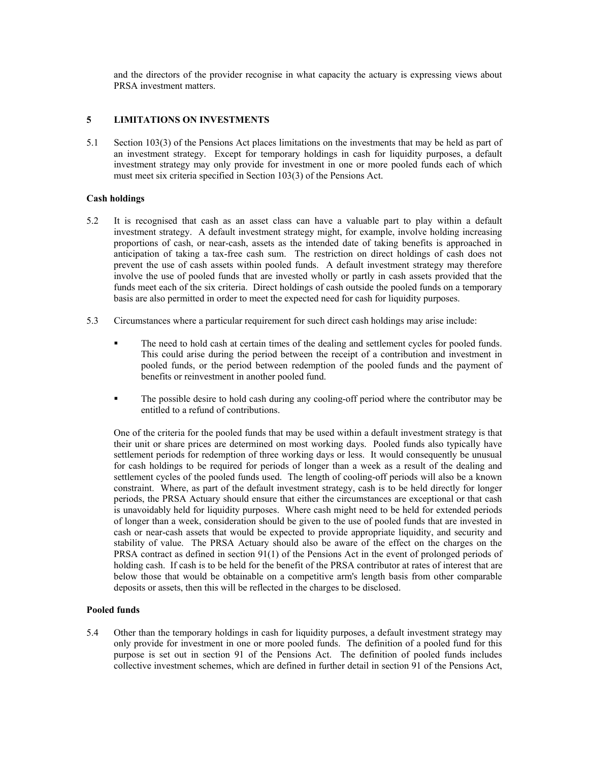and the directors of the provider recognise in what capacity the actuary is expressing views about PRSA investment matters.

## **5 LIMITATIONS ON INVESTMENTS**

5.1 Section 103(3) of the Pensions Act places limitations on the investments that may be held as part of an investment strategy. Except for temporary holdings in cash for liquidity purposes, a default investment strategy may only provide for investment in one or more pooled funds each of which must meet six criteria specified in Section 103(3) of the Pensions Act.

## **Cash holdings**

- 5.2 It is recognised that cash as an asset class can have a valuable part to play within a default investment strategy. A default investment strategy might, for example, involve holding increasing proportions of cash, or near-cash, assets as the intended date of taking benefits is approached in anticipation of taking a tax-free cash sum. The restriction on direct holdings of cash does not prevent the use of cash assets within pooled funds. A default investment strategy may therefore involve the use of pooled funds that are invested wholly or partly in cash assets provided that the funds meet each of the six criteria. Direct holdings of cash outside the pooled funds on a temporary basis are also permitted in order to meet the expected need for cash for liquidity purposes.
- 5.3 Circumstances where a particular requirement for such direct cash holdings may arise include:
	- The need to hold cash at certain times of the dealing and settlement cycles for pooled funds. This could arise during the period between the receipt of a contribution and investment in pooled funds, or the period between redemption of the pooled funds and the payment of benefits or reinvestment in another pooled fund.
	- The possible desire to hold cash during any cooling-off period where the contributor may be entitled to a refund of contributions.

 One of the criteria for the pooled funds that may be used within a default investment strategy is that their unit or share prices are determined on most working days. Pooled funds also typically have settlement periods for redemption of three working days or less. It would consequently be unusual for cash holdings to be required for periods of longer than a week as a result of the dealing and settlement cycles of the pooled funds used. The length of cooling-off periods will also be a known constraint. Where, as part of the default investment strategy, cash is to be held directly for longer periods, the PRSA Actuary should ensure that either the circumstances are exceptional or that cash is unavoidably held for liquidity purposes. Where cash might need to be held for extended periods of longer than a week, consideration should be given to the use of pooled funds that are invested in cash or near-cash assets that would be expected to provide appropriate liquidity, and security and stability of value. The PRSA Actuary should also be aware of the effect on the charges on the PRSA contract as defined in section 91(1) of the Pensions Act in the event of prolonged periods of holding cash. If cash is to be held for the benefit of the PRSA contributor at rates of interest that are below those that would be obtainable on a competitive arm's length basis from other comparable deposits or assets, then this will be reflected in the charges to be disclosed.

#### **Pooled funds**

5.4 Other than the temporary holdings in cash for liquidity purposes, a default investment strategy may only provide for investment in one or more pooled funds. The definition of a pooled fund for this purpose is set out in section 91 of the Pensions Act. The definition of pooled funds includes collective investment schemes, which are defined in further detail in section 91 of the Pensions Act,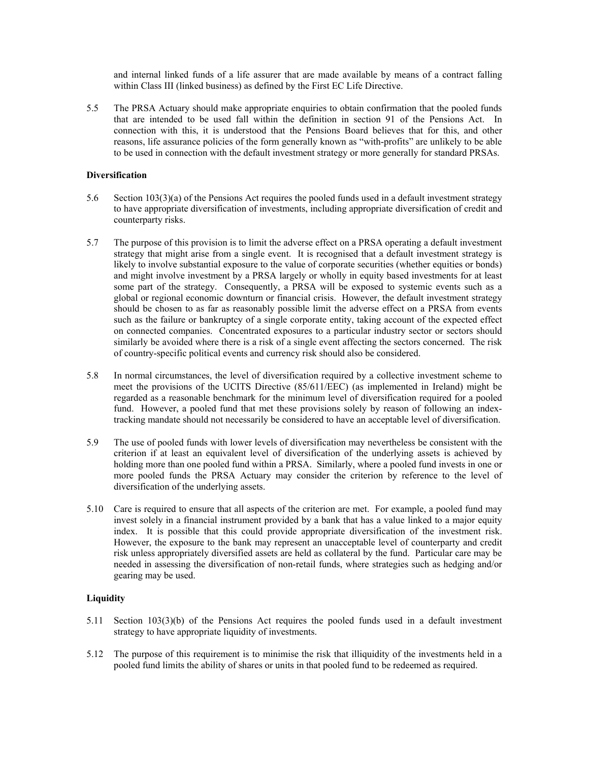and internal linked funds of a life assurer that are made available by means of a contract falling within Class III (linked business) as defined by the First EC Life Directive.

5.5 The PRSA Actuary should make appropriate enquiries to obtain confirmation that the pooled funds that are intended to be used fall within the definition in section 91 of the Pensions Act. In connection with this, it is understood that the Pensions Board believes that for this, and other reasons, life assurance policies of the form generally known as "with-profits" are unlikely to be able to be used in connection with the default investment strategy or more generally for standard PRSAs.

## **Diversification**

- 5.6 Section 103(3)(a) of the Pensions Act requires the pooled funds used in a default investment strategy to have appropriate diversification of investments, including appropriate diversification of credit and counterparty risks.
- 5.7 The purpose of this provision is to limit the adverse effect on a PRSA operating a default investment strategy that might arise from a single event. It is recognised that a default investment strategy is likely to involve substantial exposure to the value of corporate securities (whether equities or bonds) and might involve investment by a PRSA largely or wholly in equity based investments for at least some part of the strategy. Consequently, a PRSA will be exposed to systemic events such as a global or regional economic downturn or financial crisis. However, the default investment strategy should be chosen to as far as reasonably possible limit the adverse effect on a PRSA from events such as the failure or bankruptcy of a single corporate entity, taking account of the expected effect on connected companies. Concentrated exposures to a particular industry sector or sectors should similarly be avoided where there is a risk of a single event affecting the sectors concerned. The risk of country-specific political events and currency risk should also be considered.
- 5.8 In normal circumstances, the level of diversification required by a collective investment scheme to meet the provisions of the UCITS Directive (85/611/EEC) (as implemented in Ireland) might be regarded as a reasonable benchmark for the minimum level of diversification required for a pooled fund. However, a pooled fund that met these provisions solely by reason of following an indextracking mandate should not necessarily be considered to have an acceptable level of diversification.
- 5.9 The use of pooled funds with lower levels of diversification may nevertheless be consistent with the criterion if at least an equivalent level of diversification of the underlying assets is achieved by holding more than one pooled fund within a PRSA. Similarly, where a pooled fund invests in one or more pooled funds the PRSA Actuary may consider the criterion by reference to the level of diversification of the underlying assets.
- 5.10 Care is required to ensure that all aspects of the criterion are met. For example, a pooled fund may invest solely in a financial instrument provided by a bank that has a value linked to a major equity index. It is possible that this could provide appropriate diversification of the investment risk. However, the exposure to the bank may represent an unacceptable level of counterparty and credit risk unless appropriately diversified assets are held as collateral by the fund. Particular care may be needed in assessing the diversification of non-retail funds, where strategies such as hedging and/or gearing may be used.

## **Liquidity**

- 5.11 Section 103(3)(b) of the Pensions Act requires the pooled funds used in a default investment strategy to have appropriate liquidity of investments.
- 5.12 The purpose of this requirement is to minimise the risk that illiquidity of the investments held in a pooled fund limits the ability of shares or units in that pooled fund to be redeemed as required.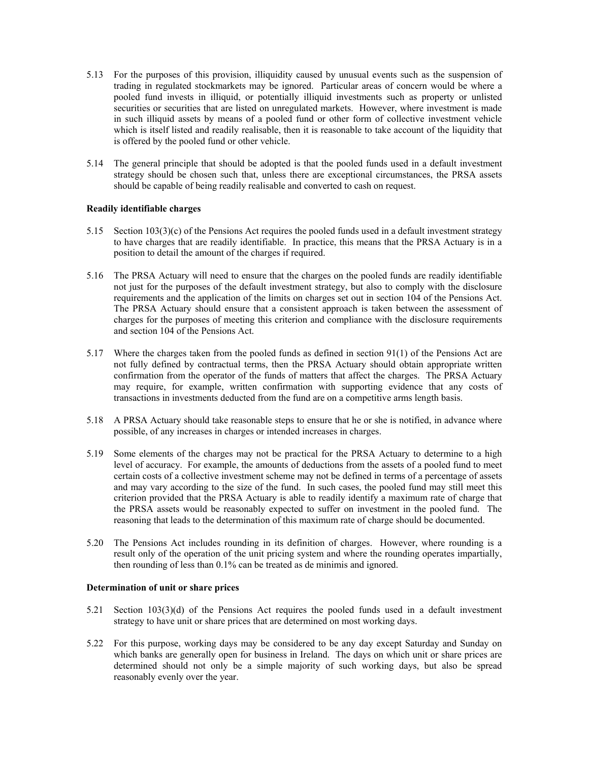- 5.13 For the purposes of this provision, illiquidity caused by unusual events such as the suspension of trading in regulated stockmarkets may be ignored. Particular areas of concern would be where a pooled fund invests in illiquid, or potentially illiquid investments such as property or unlisted securities or securities that are listed on unregulated markets. However, where investment is made in such illiquid assets by means of a pooled fund or other form of collective investment vehicle which is itself listed and readily realisable, then it is reasonable to take account of the liquidity that is offered by the pooled fund or other vehicle.
- 5.14 The general principle that should be adopted is that the pooled funds used in a default investment strategy should be chosen such that, unless there are exceptional circumstances, the PRSA assets should be capable of being readily realisable and converted to cash on request.

## **Readily identifiable charges**

- 5.15 Section 103(3)(c) of the Pensions Act requires the pooled funds used in a default investment strategy to have charges that are readily identifiable. In practice, this means that the PRSA Actuary is in a position to detail the amount of the charges if required.
- 5.16 The PRSA Actuary will need to ensure that the charges on the pooled funds are readily identifiable not just for the purposes of the default investment strategy, but also to comply with the disclosure requirements and the application of the limits on charges set out in section 104 of the Pensions Act. The PRSA Actuary should ensure that a consistent approach is taken between the assessment of charges for the purposes of meeting this criterion and compliance with the disclosure requirements and section 104 of the Pensions Act.
- 5.17 Where the charges taken from the pooled funds as defined in section 91(1) of the Pensions Act are not fully defined by contractual terms, then the PRSA Actuary should obtain appropriate written confirmation from the operator of the funds of matters that affect the charges. The PRSA Actuary may require, for example, written confirmation with supporting evidence that any costs of transactions in investments deducted from the fund are on a competitive arms length basis.
- 5.18 A PRSA Actuary should take reasonable steps to ensure that he or she is notified, in advance where possible, of any increases in charges or intended increases in charges.
- 5.19 Some elements of the charges may not be practical for the PRSA Actuary to determine to a high level of accuracy. For example, the amounts of deductions from the assets of a pooled fund to meet certain costs of a collective investment scheme may not be defined in terms of a percentage of assets and may vary according to the size of the fund. In such cases, the pooled fund may still meet this criterion provided that the PRSA Actuary is able to readily identify a maximum rate of charge that the PRSA assets would be reasonably expected to suffer on investment in the pooled fund. The reasoning that leads to the determination of this maximum rate of charge should be documented.
- 5.20 The Pensions Act includes rounding in its definition of charges. However, where rounding is a result only of the operation of the unit pricing system and where the rounding operates impartially, then rounding of less than 0.1% can be treated as de minimis and ignored.

#### **Determination of unit or share prices**

- 5.21 Section 103(3)(d) of the Pensions Act requires the pooled funds used in a default investment strategy to have unit or share prices that are determined on most working days.
- 5.22 For this purpose, working days may be considered to be any day except Saturday and Sunday on which banks are generally open for business in Ireland. The days on which unit or share prices are determined should not only be a simple majority of such working days, but also be spread reasonably evenly over the year.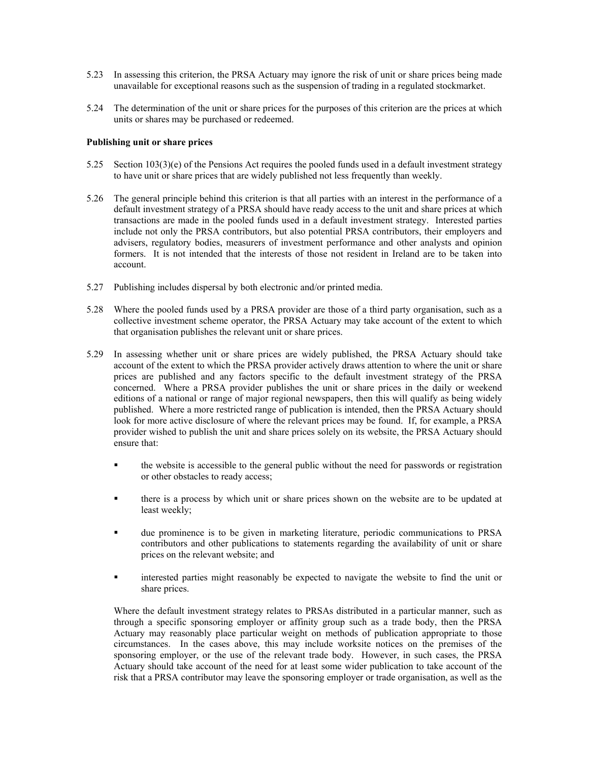- 5.23 In assessing this criterion, the PRSA Actuary may ignore the risk of unit or share prices being made unavailable for exceptional reasons such as the suspension of trading in a regulated stockmarket.
- 5.24 The determination of the unit or share prices for the purposes of this criterion are the prices at which units or shares may be purchased or redeemed.

## **Publishing unit or share prices**

- 5.25 Section 103(3)(e) of the Pensions Act requires the pooled funds used in a default investment strategy to have unit or share prices that are widely published not less frequently than weekly.
- 5.26 The general principle behind this criterion is that all parties with an interest in the performance of a default investment strategy of a PRSA should have ready access to the unit and share prices at which transactions are made in the pooled funds used in a default investment strategy. Interested parties include not only the PRSA contributors, but also potential PRSA contributors, their employers and advisers, regulatory bodies, measurers of investment performance and other analysts and opinion formers. It is not intended that the interests of those not resident in Ireland are to be taken into account.
- 5.27 Publishing includes dispersal by both electronic and/or printed media.
- 5.28 Where the pooled funds used by a PRSA provider are those of a third party organisation, such as a collective investment scheme operator, the PRSA Actuary may take account of the extent to which that organisation publishes the relevant unit or share prices.
- 5.29 In assessing whether unit or share prices are widely published, the PRSA Actuary should take account of the extent to which the PRSA provider actively draws attention to where the unit or share prices are published and any factors specific to the default investment strategy of the PRSA concerned. Where a PRSA provider publishes the unit or share prices in the daily or weekend editions of a national or range of major regional newspapers, then this will qualify as being widely published. Where a more restricted range of publication is intended, then the PRSA Actuary should look for more active disclosure of where the relevant prices may be found. If, for example, a PRSA provider wished to publish the unit and share prices solely on its website, the PRSA Actuary should ensure that:
	- the website is accessible to the general public without the need for passwords or registration or other obstacles to ready access;
	- there is a process by which unit or share prices shown on the website are to be updated at least weekly;
	- due prominence is to be given in marketing literature, periodic communications to PRSA contributors and other publications to statements regarding the availability of unit or share prices on the relevant website; and
	- interested parties might reasonably be expected to navigate the website to find the unit or share prices.

 Where the default investment strategy relates to PRSAs distributed in a particular manner, such as through a specific sponsoring employer or affinity group such as a trade body, then the PRSA Actuary may reasonably place particular weight on methods of publication appropriate to those circumstances. In the cases above, this may include worksite notices on the premises of the sponsoring employer, or the use of the relevant trade body. However, in such cases, the PRSA Actuary should take account of the need for at least some wider publication to take account of the risk that a PRSA contributor may leave the sponsoring employer or trade organisation, as well as the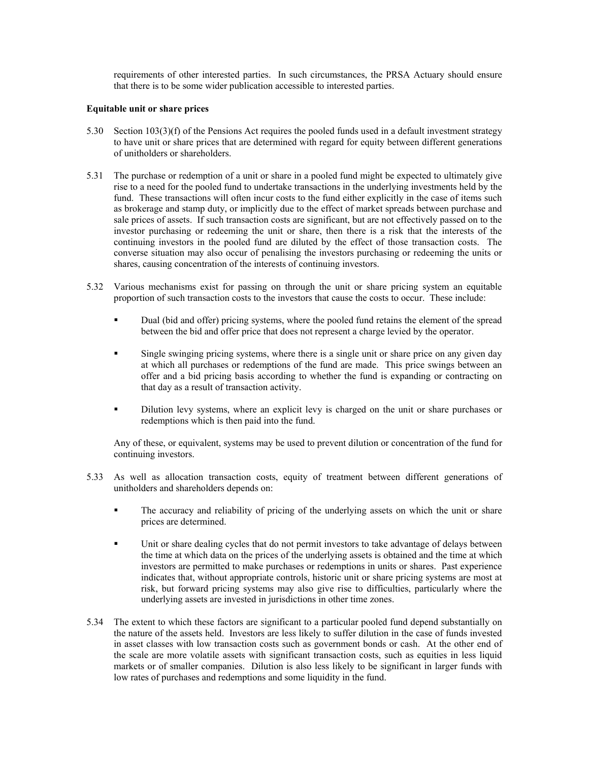requirements of other interested parties. In such circumstances, the PRSA Actuary should ensure that there is to be some wider publication accessible to interested parties.

### **Equitable unit or share prices**

- 5.30 Section 103(3)(f) of the Pensions Act requires the pooled funds used in a default investment strategy to have unit or share prices that are determined with regard for equity between different generations of unitholders or shareholders.
- 5.31 The purchase or redemption of a unit or share in a pooled fund might be expected to ultimately give rise to a need for the pooled fund to undertake transactions in the underlying investments held by the fund. These transactions will often incur costs to the fund either explicitly in the case of items such as brokerage and stamp duty, or implicitly due to the effect of market spreads between purchase and sale prices of assets. If such transaction costs are significant, but are not effectively passed on to the investor purchasing or redeeming the unit or share, then there is a risk that the interests of the continuing investors in the pooled fund are diluted by the effect of those transaction costs. The converse situation may also occur of penalising the investors purchasing or redeeming the units or shares, causing concentration of the interests of continuing investors.
- 5.32 Various mechanisms exist for passing on through the unit or share pricing system an equitable proportion of such transaction costs to the investors that cause the costs to occur. These include:
	- Dual (bid and offer) pricing systems, where the pooled fund retains the element of the spread between the bid and offer price that does not represent a charge levied by the operator.
	- Single swinging pricing systems, where there is a single unit or share price on any given day at which all purchases or redemptions of the fund are made. This price swings between an offer and a bid pricing basis according to whether the fund is expanding or contracting on that day as a result of transaction activity.
	- Dilution levy systems, where an explicit levy is charged on the unit or share purchases or redemptions which is then paid into the fund.

 Any of these, or equivalent, systems may be used to prevent dilution or concentration of the fund for continuing investors.

- 5.33 As well as allocation transaction costs, equity of treatment between different generations of unitholders and shareholders depends on:
	- The accuracy and reliability of pricing of the underlying assets on which the unit or share prices are determined.
	- Unit or share dealing cycles that do not permit investors to take advantage of delays between the time at which data on the prices of the underlying assets is obtained and the time at which investors are permitted to make purchases or redemptions in units or shares. Past experience indicates that, without appropriate controls, historic unit or share pricing systems are most at risk, but forward pricing systems may also give rise to difficulties, particularly where the underlying assets are invested in jurisdictions in other time zones.
- 5.34 The extent to which these factors are significant to a particular pooled fund depend substantially on the nature of the assets held. Investors are less likely to suffer dilution in the case of funds invested in asset classes with low transaction costs such as government bonds or cash. At the other end of the scale are more volatile assets with significant transaction costs, such as equities in less liquid markets or of smaller companies. Dilution is also less likely to be significant in larger funds with low rates of purchases and redemptions and some liquidity in the fund.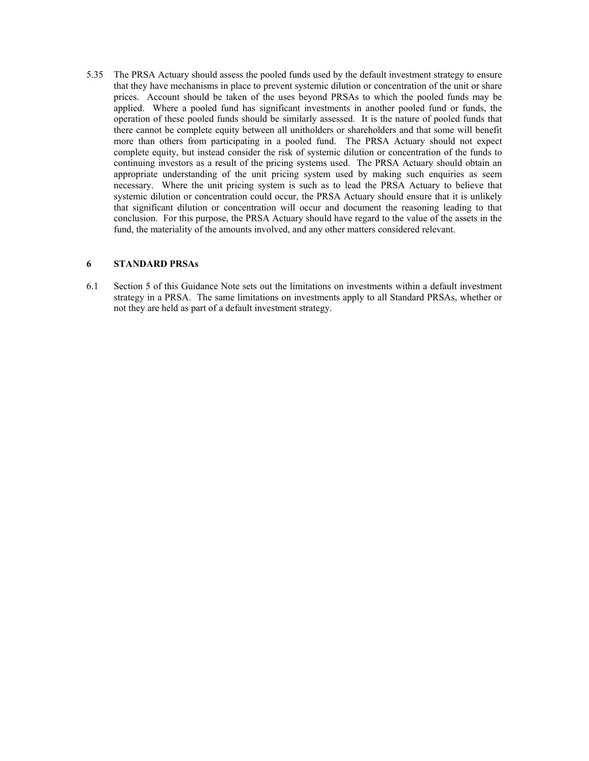5.35 The PRSA Actuary should assess the pooled funds used by the default investment strategy to ensure that they have mechanisms in place to prevent systemic dilution or concentration of the unit or share prices. Account should be taken of the uses beyond PRSAs to which the pooled funds may be applied. Where a pooled fund has significant investments in another pooled fund or funds, the operation of these pooled funds should be similarly assessed. It is the nature of pooled funds that there cannot be complete equity between all unitholders or shareholders and that some will benefit more than others from participating in a pooled fund. The PRSA Actuary should not expect complete equity, but instead consider the risk of systemic dilution or concentration of the funds to continuing investors as a result of the pricing systems used. The PRSA Actuary should obtain an appropriate understanding of the unit pricing system used by making such enquiries as seem necessary. Where the unit pricing system is such as to lead the PRSA Actuary to believe that systemic dilution or concentration could occur, the PRSA Actuary should ensure that it is unlikely that significant dilution or concentration will occur and document the reasoning leading to that conclusion. For this purpose, the PRSA Actuary should have regard to the value of the assets in the fund, the materiality of the amounts involved, and any other matters considered relevant.

## **6 STANDARD PRSAs**

6.1 Section 5 of this Guidance Note sets out the limitations on investments within a default investment strategy in a PRSA. The same limitations on investments apply to all Standard PRSAs, whether or not they are held as part of a default investment strategy.